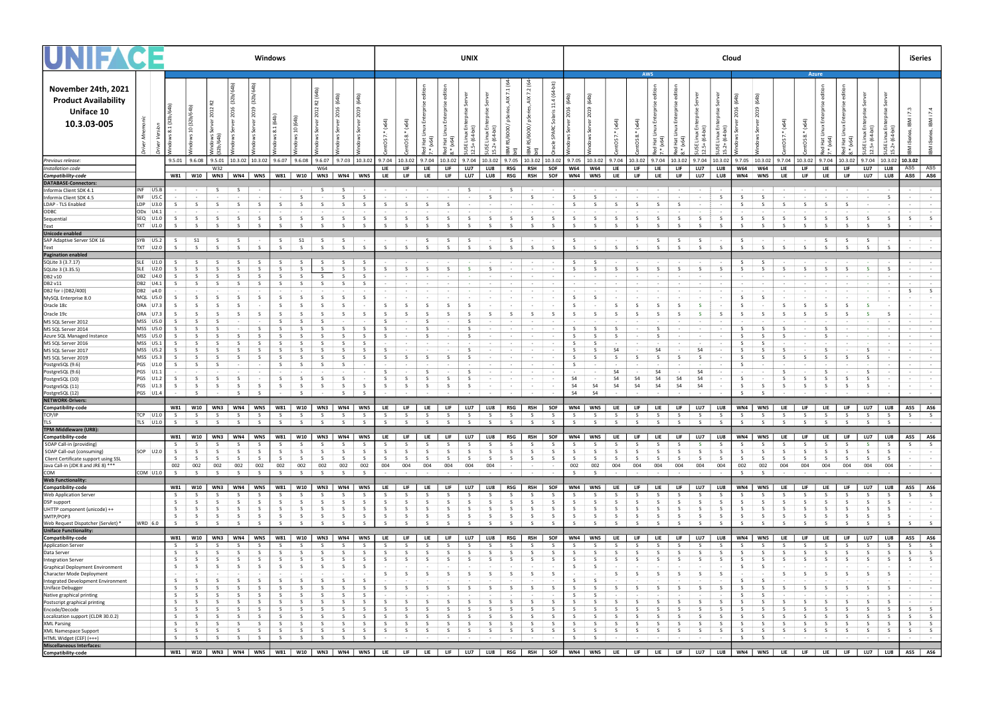|                                                                                        |                          |                    | Windows                 |                                |                                                                  |                         |  |                         |                                                   |                             |              |                   |            |                                         | <b>UNIX</b>    |                          |             |                                                       |                   |                          |                                                                                                                                                                                           |                 |                                                                                                                                                                                                                 | Cloud                |                  |                   |                  |                                                                                                                                                                                                                                |                                        |                   |                            |                                       |                                             |                   |                            |                                                                                                                                                                                                                                | iSeries          |                                                                           |  |
|----------------------------------------------------------------------------------------|--------------------------|--------------------|-------------------------|--------------------------------|------------------------------------------------------------------|-------------------------|--|-------------------------|---------------------------------------------------|-----------------------------|--------------|-------------------|------------|-----------------------------------------|----------------|--------------------------|-------------|-------------------------------------------------------|-------------------|--------------------------|-------------------------------------------------------------------------------------------------------------------------------------------------------------------------------------------|-----------------|-----------------------------------------------------------------------------------------------------------------------------------------------------------------------------------------------------------------|----------------------|------------------|-------------------|------------------|--------------------------------------------------------------------------------------------------------------------------------------------------------------------------------------------------------------------------------|----------------------------------------|-------------------|----------------------------|---------------------------------------|---------------------------------------------|-------------------|----------------------------|--------------------------------------------------------------------------------------------------------------------------------------------------------------------------------------------------------------------------------|------------------|---------------------------------------------------------------------------|--|
| November 24th, 2021<br><b>Product Availability</b><br><b>Uniface 10</b><br>10.3.03-005 |                          |                    |                         |                                |                                                                  |                         |  |                         |                                                   |                             |              |                   | $\ddot{ }$ | $\infty$                                |                |                          | 54<br>고     | ₽<br>್ಲಿ                                              | 7.1<br>8          | 7.2                      | . हे<br>$\overline{a}$<br>្ពុ                                                                                                                                                             |                 |                                                                                                                                                                                                                 |                      |                  | <b>AWS</b>        |                  |                                                                                                                                                                                                                                |                                        |                   |                            |                                       |                                             | Azure             |                            |                                                                                                                                                                                                                                |                  | 7.3<br>$\overline{z}$                                                     |  |
| Previous release:                                                                      |                          |                    |                         |                                |                                                                  |                         |  | $9.6.07$ 9.6.08         |                                                   |                             |              |                   |            |                                         |                |                          |             |                                                       |                   |                          | $\vert$ 9.6.07 $\vert$ 9.7.03 $\vert$ 10.3.02 $\vert$ 9.7.04 $\vert$ 10.3.02 $\vert$ 9.7.04 $\vert$ 10.3.02 $\vert$ 9.7.04 $\vert$ 10.3.02 $\vert$ 9.7.05 $\vert$ 10.3.02 $\vert$ 10.3.02 |                 | $\vert$ 9.7.05 $\vert$ 10.3.02 $\vert$ 9.7.04 $\vert$ 10.3.02 $\vert$ 9.7.04 $\vert$ 10.3.02 $\vert$ 9.7.04 $\vert$ 10.3.02                                                                                     |                      |                  |                   |                  |                                                                                                                                                                                                                                |                                        |                   |                            | $9.7.05$   10.3.02   9.7.04   10.3.02 |                                             |                   |                            | $9.7.04$   10.3.02   9.7.04   10.3.02   10.3.02                                                                                                                                                                                |                  |                                                                           |  |
| Installation code                                                                      |                          |                    |                         | W32                            |                                                                  |                         |  |                         |                                                   | W64                         |              |                   | <b>LIE</b> | <b>LIF</b>                              | LIE            | <b>LIF</b>               | LU7         | LU8                                                   | RSG               | RSH                      | SOF                                                                                                                                                                                       | <b>W64</b>      | <b>W64</b>                                                                                                                                                                                                      | LIE –                | LIF <sub>1</sub> | <b>LIE</b>        | <b>LIF</b>       |                                                                                                                                                                                                                                | LU7   LU8                              |                   | <b>W64</b>                 | <b>W64</b><br>LIE                     | LIF.                                        | LIE               | <b>LIF</b>                 | LU7<br>LU8                                                                                                                                                                                                                     |                  | AS5   AS5                                                                 |  |
| Compatibility-code<br>DATABASE-Connectors:                                             |                          |                    |                         |                                | W81   W10   WN3   WN4   WN5                                      |                         |  |                         |                                                   | W81   W10   WN3   WN4   WN5 |              |                   | <b>LIE</b> | <b>LIF</b>                              | LIE            | LIF                      | LU7         | LU8                                                   | RSG               | <b>RSH</b>               | SOF                                                                                                                                                                                       | WN4             | WN5                                                                                                                                                                                                             | LIE                  | LIF <sub>1</sub> | LIE               | LIF <sub>1</sub> | LU7                                                                                                                                                                                                                            | LU8                                    |                   | WN4<br>WN5                 |                                       | LIF <sub>1</sub><br>LIE –                   |                   | <b>LIE</b><br><b>LIF</b>   | LU7                                                                                                                                                                                                                            | LU8              | AS5 AS6                                                                   |  |
| Informix Client SDK 4.1                                                                | INF US.B                 |                    | $\sim 100$ km s $^{-1}$ | S -                            |                                                                  | S<br>$\sim$ 100 $\pm$   |  | the control of the con- |                                                   | S <sub>5</sub>              | S            |                   |            | $   -$                                  | <b>Service</b> | <b>Contract Contract</b> | S           |                                                       | $ S$              |                          | and the state of the state                                                                                                                                                                |                 | $\sim 100$ km s $^{-1}$                                                                                                                                                                                         | and the state of the |                  |                   |                  | and the second control of the second control of the second control of the second control of the second control of the second control of the second control of the second control of the second control of the second control o |                                        |                   |                            | $\sim 100$                            | <b>Contractor</b>                           |                   |                            | and the second control of the second control of the second control of the second control of the second control of the second control of the second control of the second control of the second control of the second control o |                  | <b>CALL CONTRACT</b>                                                      |  |
| Informix Client SDK 4.5                                                                | INF US.C                 |                    |                         |                                |                                                                  |                         |  |                         | - S                                               |                             | -S           |                   |            |                                         |                |                          |             |                                                       |                   | -S                       |                                                                                                                                                                                           |                 | - 5                                                                                                                                                                                                             |                      |                  |                   |                  | $\sim$ 100 $\mu$                                                                                                                                                                                                               | -S                                     |                   |                            |                                       |                                             |                   |                            | S<br>$\sim 100$                                                                                                                                                                                                                |                  | the contract of the contract of                                           |  |
| LDAP - TLS Enabled                                                                     | $LDP$ $U3.0$             |                    |                         |                                |                                                                  |                         |  | -S                      |                                                   |                             |              |                   |            |                                         |                |                          |             |                                                       |                   | $\sim$ 100 $\sim$        |                                                                                                                                                                                           |                 |                                                                                                                                                                                                                 |                      |                  |                   |                  | $\sim$                                                                                                                                                                                                                         |                                        |                   |                            |                                       |                                             |                   |                            | $\sim$ 100 $\pm$                                                                                                                                                                                                               |                  | the control of the                                                        |  |
| ODBC<br>Sequential                                                                     | ODx U4.1<br>SEQ U1.0     | -S                 | S.                      | - S                            | S.                                                               | S <sub>5</sub>          |  | S <sub>1</sub>          | S                                                 | S <sub>5</sub>              | S            | - S               | -S         | S.                                      |                |                          |             | - 5                                                   | - S               | S.                       | - S                                                                                                                                                                                       | S.              | S.                                                                                                                                                                                                              | - S                  |                  | - S               | S.               | S.                                                                                                                                                                                                                             | S.                                     |                   | S.                         | - S<br>- S                            |                                             | - S               | S.                         | S.<br>S.                                                                                                                                                                                                                       |                  | $S \qquad S$                                                              |  |
| Text                                                                                   | TXT   U1.0               |                    | $\varsigma$             | $\varsigma$                    | $\varsigma$                                                      |                         |  | $\varsigma$             | $\zeta$                                           | $\varsigma$                 | $\varsigma$  |                   |            | $\varsigma$                             |                |                          |             | S.                                                    | $\varsigma$       | $\sim$                   | - 9                                                                                                                                                                                       |                 | $\sim$                                                                                                                                                                                                          |                      |                  |                   |                  | S.                                                                                                                                                                                                                             | $\varsigma$                            |                   | $\varsigma$                |                                       |                                             |                   |                            |                                                                                                                                                                                                                                |                  | <b>Service</b><br>$\sim$                                                  |  |
| Unicode enabled                                                                        |                          |                    |                         |                                |                                                                  |                         |  |                         |                                                   |                             |              |                   |            |                                         |                |                          |             |                                                       |                   |                          |                                                                                                                                                                                           |                 |                                                                                                                                                                                                                 |                      |                  |                   |                  |                                                                                                                                                                                                                                |                                        |                   |                            |                                       |                                             |                   |                            |                                                                                                                                                                                                                                |                  |                                                                           |  |
| SAP Adaptive Server SDK 16<br>Text                                                     | SYB U5.2<br>TXT U2.0     | S.<br>$\varsigma$  | S1<br>$\zeta$           | S                              | S<br>- S                                                         | $S \qquad \qquad$<br>S. |  | $S \qquad \qquad$<br>S. | S1<br>S                                           | $S \t S$<br>$\zeta$         | S            | $\sim 100$<br>- S | $S \mid$   | $  \sqrt{5}$<br>S                       | $\zeta$        | $S \cup$                 | $\varsigma$ | $S \left  \cdot \right  S \left  \cdot \right $<br>S. | S                 | S                        | S                                                                                                                                                                                         | $\varsigma$     | $S \rightarrow \rightarrow \rightarrow \rightarrow$ $S \rightarrow$<br>S                                                                                                                                        | S                    | S                | S                 | S                | S.                                                                                                                                                                                                                             | S.                                     |                   | $\varsigma$                | S<br>S                                | S                                           | S                 | S                          | $S \rightarrow \rightarrow \rightarrow \rightarrow$ $S \rightarrow S$ $S$<br>S<br>$\vert$ S                                                                                                                                    |                  | the control of the<br>the control of the control                          |  |
| <b>Pagination enabled</b>                                                              |                          |                    |                         |                                |                                                                  |                         |  |                         |                                                   |                             |              |                   |            |                                         |                |                          |             |                                                       |                   |                          |                                                                                                                                                                                           |                 |                                                                                                                                                                                                                 |                      |                  |                   |                  |                                                                                                                                                                                                                                |                                        |                   |                            |                                       |                                             |                   |                            |                                                                                                                                                                                                                                |                  |                                                                           |  |
| SQLite 3 (3.7.17)                                                                      | SLE U1.0                 | -S                 | -S                      |                                | -S                                                               | - S                     |  | S <sub>3</sub>          | S.                                                | <b>S</b>                    | S.           | - S               |            | $\sim$ 100 $\sim$                       |                |                          |             | $\sim$ $-$                                            |                   | <b>Contract Contract</b> | $\sim$                                                                                                                                                                                    |                 | S.                                                                                                                                                                                                              | $\sim$ $-$           | $\sim 100$       | $\sim 100$        | $\sim 100$       | <b>Contract Contract</b>                                                                                                                                                                                                       | $\sim$                                 |                   |                            | - S                                   | $\sim$ 100 $\sim$                           | $\sim$ 100 $\sim$ |                            | <b>Contract Contract</b><br>$\sim$                                                                                                                                                                                             |                  | the contract of the contract of the                                       |  |
| SQLite 3 (3.35.5)                                                                      | SLE U2.0                 |                    |                         |                                |                                                                  |                         |  | S.<br><b>S</b>          | - S                                               | S                           | -S           |                   |            |                                         |                |                          |             |                                                       |                   |                          |                                                                                                                                                                                           |                 | - S                                                                                                                                                                                                             |                      |                  |                   |                  | S.                                                                                                                                                                                                                             | <b>S</b>                               |                   |                            |                                       |                                             |                   |                            | S<br>S                                                                                                                                                                                                                         |                  | $\sim 10^{-1}$<br>the control of                                          |  |
| DB2 v10<br>DB2 v11                                                                     | DB2 U4.0<br>DB2 U4.      |                    |                         |                                | -S<br>-S                                                         |                         |  | - S                     | S<br>- S                                          | S.<br>- S                   | S.<br>-S     |                   |            |                                         |                |                          |             |                                                       |                   |                          |                                                                                                                                                                                           |                 |                                                                                                                                                                                                                 |                      |                  |                   |                  | $\sim$ 100 $\mu$                                                                                                                                                                                                               |                                        |                   |                            |                                       |                                             |                   |                            | <b>Contract Contract</b><br>$\sim$ $\sim$                                                                                                                                                                                      |                  | <b>Contract Contract</b><br>$\sim$ 100 $\pm$<br>$\sim$ 100 $\pm$          |  |
| DB2 for i (DB2/400)                                                                    | DB2 u4.0                 |                    |                         |                                |                                                                  |                         |  |                         |                                                   |                             |              |                   |            |                                         |                |                          |             |                                                       |                   |                          |                                                                                                                                                                                           |                 |                                                                                                                                                                                                                 |                      |                  |                   |                  |                                                                                                                                                                                                                                |                                        |                   |                            |                                       |                                             |                   |                            | $\sim 100$                                                                                                                                                                                                                     |                  | S<br>S                                                                    |  |
| MySQL Enterprise 8.0                                                                   | MQL U5.0                 |                    |                         |                                |                                                                  |                         |  | -S                      | - S                                               |                             | -S           |                   |            |                                         |                |                          |             |                                                       |                   | $\sim 100$               |                                                                                                                                                                                           |                 | - S                                                                                                                                                                                                             |                      |                  |                   |                  | $\sim 100$                                                                                                                                                                                                                     |                                        |                   |                            |                                       |                                             |                   |                            | <b>Contract Contract</b><br>$\sim$ 100 $\pm$                                                                                                                                                                                   |                  | $\sim$                                                                    |  |
| Oracle 18c                                                                             | ORA U7.3                 |                    |                         |                                |                                                                  |                         |  | - S                     | - S                                               |                             |              |                   |            |                                         |                |                          |             |                                                       |                   |                          |                                                                                                                                                                                           |                 |                                                                                                                                                                                                                 |                      |                  |                   |                  | - S                                                                                                                                                                                                                            |                                        |                   |                            |                                       |                                             |                   |                            |                                                                                                                                                                                                                                |                  |                                                                           |  |
| Oracle 19c<br>MS SQL Server 2012                                                       | ORA U7.<br>MSS U5.0      |                    |                         |                                | -S                                                               | - S                     |  | <b>S</b><br>-S          | - S                                               | - S                         | -S           | - S               |            |                                         |                |                          |             |                                                       |                   | S.                       | s s                                                                                                                                                                                       |                 | S.                                                                                                                                                                                                              | - 5                  |                  |                   |                  | - S                                                                                                                                                                                                                            | - S                                    |                   | - S                        |                                       |                                             |                   |                            | - S<br>$\sim 10^{-1}$<br>$\sim$ $-$                                                                                                                                                                                            |                  | $\sim$ $-$<br>$\sim$<br><b>Service</b><br>$\sim$                          |  |
| MS SQL Server 2014                                                                     | MSS U5.0                 |                    |                         |                                |                                                                  |                         |  | -S                      |                                                   |                             |              |                   |            |                                         |                |                          |             |                                                       |                   |                          |                                                                                                                                                                                           |                 |                                                                                                                                                                                                                 |                      |                  |                   |                  |                                                                                                                                                                                                                                |                                        |                   |                            |                                       |                                             |                   |                            | <b>State State</b>                                                                                                                                                                                                             |                  | the company of the                                                        |  |
| Azure SQL Managed Instance                                                             | MSS U5.0                 |                    |                         |                                |                                                                  |                         |  |                         |                                                   |                             |              |                   |            |                                         |                |                          |             |                                                       |                   |                          |                                                                                                                                                                                           |                 |                                                                                                                                                                                                                 |                      |                  |                   |                  |                                                                                                                                                                                                                                |                                        |                   |                            |                                       |                                             |                   |                            |                                                                                                                                                                                                                                |                  | $\sim$<br>$\sim$                                                          |  |
| MS SQL Server 2016                                                                     | MSS U5.<br>MSS U5.2      |                    |                         |                                |                                                                  |                         |  |                         |                                                   |                             |              |                   |            |                                         |                |                          |             |                                                       |                   |                          |                                                                                                                                                                                           |                 |                                                                                                                                                                                                                 |                      |                  |                   |                  | S <sub>4</sub>                                                                                                                                                                                                                 |                                        |                   |                            |                                       |                                             |                   |                            |                                                                                                                                                                                                                                |                  | <b>Service</b> Service                                                    |  |
| MS SQL Server 2017<br>MS SQL Server 2019                                               | MSS U5.3                 |                    |                         |                                |                                                                  |                         |  |                         |                                                   |                             |              |                   |            |                                         |                |                          |             |                                                       |                   |                          |                                                                                                                                                                                           |                 |                                                                                                                                                                                                                 |                      |                  |                   |                  |                                                                                                                                                                                                                                |                                        |                   |                            |                                       |                                             |                   |                            | $\sim$                                                                                                                                                                                                                         |                  | the contract of the contract of<br>$\sim 100$<br>$\sim$                   |  |
| PostgreSQL (9.6)                                                                       | PGS U1.                  |                    | -S                      |                                |                                                                  |                         |  | -S                      | - S                                               |                             | -S           |                   |            |                                         |                |                          |             |                                                       |                   |                          |                                                                                                                                                                                           |                 |                                                                                                                                                                                                                 |                      |                  |                   |                  |                                                                                                                                                                                                                                |                                        |                   |                            |                                       |                                             |                   |                            |                                                                                                                                                                                                                                |                  | $\sim$ 100 $\pm$<br>$\sim$ 100 $\pm$                                      |  |
| PostgreSQL (9.6)                                                                       | PGS U1.                  |                    |                         |                                |                                                                  |                         |  |                         |                                                   |                             |              |                   |            |                                         |                |                          |             |                                                       |                   |                          |                                                                                                                                                                                           |                 |                                                                                                                                                                                                                 | S <sub>4</sub>       |                  |                   |                  | S <sub>4</sub>                                                                                                                                                                                                                 |                                        |                   |                            |                                       |                                             |                   |                            |                                                                                                                                                                                                                                |                  | <b>Service</b><br>$\sim$                                                  |  |
| PostgreSQL (10)<br>PostgreSQL (11)                                                     | PGS U1.<br>$PGS$ $U1.3$  | -S                 | -S                      |                                | -S<br>-S                                                         | - S                     |  | -S<br>-S                | - S<br>- S                                        | -S<br>-S                    | -S<br>-S     |                   |            |                                         |                |                          |             |                                                       |                   |                          |                                                                                                                                                                                           | S4<br><b>S4</b> | <b>S4</b>                                                                                                                                                                                                       | -S4<br>$S_4$         | S <sub>4</sub>   | S <sub>4</sub>    | S <sub>4</sub>   | S <sub>4</sub><br>S <sub>4</sub>                                                                                                                                                                                               |                                        |                   |                            |                                       |                                             |                   |                            |                                                                                                                                                                                                                                |                  | <b>Contract Contract</b><br>$\sim$<br>the company of the                  |  |
| PostgreSQL (12)                                                                        | PGS U1.4                 |                    |                         |                                | $\zeta$                                                          |                         |  |                         | $\zeta$                                           |                             | $\zeta$      |                   |            |                                         |                |                          |             |                                                       |                   | $\sim$ 100 $\mu$         |                                                                                                                                                                                           | <b>S4</b>       | S <sub>4</sub>                                                                                                                                                                                                  |                      |                  |                   | $\sim$           |                                                                                                                                                                                                                                |                                        |                   |                            |                                       |                                             |                   |                            |                                                                                                                                                                                                                                |                  | the control of the                                                        |  |
| NETWORK-Drivers:                                                                       |                          |                    |                         |                                |                                                                  |                         |  |                         |                                                   |                             |              |                   |            |                                         |                |                          |             |                                                       |                   |                          |                                                                                                                                                                                           |                 |                                                                                                                                                                                                                 |                      |                  |                   |                  |                                                                                                                                                                                                                                |                                        |                   |                            |                                       |                                             |                   |                            |                                                                                                                                                                                                                                |                  |                                                                           |  |
| Compatibility-code                                                                     |                          |                    |                         |                                | W81   W10   WN3   WN4   WN5   W81   W10   WN3   WN4   WN5        |                         |  |                         |                                                   |                             |              |                   |            | LIE   LIF   LIE   LIF   LU7   LU8   RSG |                |                          |             |                                                       |                   |                          | RSH SOF                                                                                                                                                                                   |                 | <b>WN4 WN5</b>                                                                                                                                                                                                  | LIE                  | LIF <sub>1</sub> | LIE               |                  |                                                                                                                                                                                                                                | LIF   LU7   LU8                        |                   | WN4   WN5                  |                                       | LIE  <br>LIF <sub>1</sub>                   |                   | LIE  <br>LIF <sub>11</sub> | LU7 LU8                                                                                                                                                                                                                        |                  | AS5   AS6                                                                 |  |
| TCP/IP<br>TΙS                                                                          | $TCP$ $U1.0$<br>TLS U1.0 | S<br>- S           | S                       | $S \qquad \qquad$<br>$\vert$ s | $S \mid S \mid S \mid S \mid S \mid S \mid S \mid S \mid S$<br>S | S                       |  | S                       | $\begin{array}{ccc} \n & \text{S} \n \end{array}$ | S                           | S            | <b>S</b>          | S.         | $S \qquad S \qquad$                     | S              | S.                       | $S \mid$    | S.                                                    | $S \qquad \qquad$ | S <sub>1</sub>           | S —<br>$\vert$ S                                                                                                                                                                          | S.              | S                                                                                                                                                                                                               |                      |                  | $S \quad S \quad$ |                  | $S \qquad \qquad$<br>S.                                                                                                                                                                                                        | $\begin{array}{ccc} & & S \end{array}$ | S                 | S<br>S                     |                                       | $S \vert S \vert S \vert S \vert S \vert S$ |                   |                            |                                                                                                                                                                                                                                | S                | <b>Service</b> Pro                                                        |  |
| TPM-Middleware (URB):                                                                  |                          |                    |                         |                                |                                                                  |                         |  |                         |                                                   |                             |              |                   |            |                                         |                |                          |             |                                                       |                   |                          |                                                                                                                                                                                           |                 |                                                                                                                                                                                                                 |                      |                  |                   |                  |                                                                                                                                                                                                                                |                                        |                   |                            |                                       |                                             |                   |                            |                                                                                                                                                                                                                                |                  |                                                                           |  |
| Compatibility-code                                                                     |                          |                    |                         |                                | W81   W10   WN3   WN4                                            | <b>WN5</b>              |  | W81 W10                 |                                                   | WN3                         | WN4          | WN5               | LIE        | LIF                                     | LIE            | LIF                      | LU7         | LU8                                                   | RSG               | RSH                      | SOF                                                                                                                                                                                       |                 | <b>WN4 WN5</b>                                                                                                                                                                                                  | LIE –                | LIF <sub>1</sub> | LIE –             |                  |                                                                                                                                                                                                                                | LIF   LU7   LU8                        |                   | WN4   WN5                  | <b>LIE</b>                            | LIF <sub>1</sub>                            |                   | LIE –<br><b>LIF</b>        | LU7                                                                                                                                                                                                                            | LU8              | AS5   AS6                                                                 |  |
| SOAP Call-in (providing)<br>SOAP Call-out (consuming)                                  | SOP U2.0                 | -S<br><sub>S</sub> |                         | -S                             | -S                                                               | - S                     |  | -S<br><b>S</b>          | -S                                                | -S                          | -S           | -S                | -S<br>-S   |                                         |                |                          |             |                                                       |                   | - S                      | - S                                                                                                                                                                                       | -S              |                                                                                                                                                                                                                 |                      |                  |                   |                  |                                                                                                                                                                                                                                | -S                                     |                   | -S                         |                                       |                                             |                   |                            | - S                                                                                                                                                                                                                            |                  | S.<br>-S.                                                                 |  |
| Client Certificate support using SSL                                                   |                          | <sub>S</sub>       | -S                      | -S                             | S.                                                               | - S                     |  | S                       | - S                                               | - S                         | -S           | -S                | -S         | -S                                      |                |                          |             |                                                       | - 5               | -S                       | - S                                                                                                                                                                                       |                 | - S                                                                                                                                                                                                             | - S                  |                  |                   |                  | -S                                                                                                                                                                                                                             | - S                                    |                   | -S<br>- S                  | - S                                   |                                             |                   |                            |                                                                                                                                                                                                                                | S.               | the control of<br>$\sim$ 100 $\pm$                                        |  |
| Java Call-in (JDK 8 and JRE 8) ***                                                     |                          | 002                | 002                     | 002                            | 002                                                              | 002                     |  | 002                     | 002                                               | 002                         | 002          | 002               | 004        | 004                                     |                |                          |             |                                                       |                   | $\sim 100$               | $\sim$ 100 $\mu$                                                                                                                                                                          | 002             | 002                                                                                                                                                                                                             | 004                  | 004              | 004               | 004              | 004                                                                                                                                                                                                                            | 004                                    |                   | 002                        | 002<br>004                            | 004                                         | 004               | 004                        | 004<br>004                                                                                                                                                                                                                     |                  | the company of the company                                                |  |
| COM<br>Web Functionality:                                                              | COM U1.0                 | - S                | $\varsigma$             | $\varsigma$                    | $\varsigma$                                                      | $\varsigma$             |  | $\zeta$                 | $\varsigma$                                       | $\varsigma$                 | $\varsigma$  |                   |            |                                         |                |                          |             |                                                       |                   |                          |                                                                                                                                                                                           |                 |                                                                                                                                                                                                                 |                      |                  |                   |                  |                                                                                                                                                                                                                                |                                        |                   | $\varsigma$                |                                       |                                             |                   |                            |                                                                                                                                                                                                                                |                  | <b>Allen Market</b><br>$\sim 100$                                         |  |
| Compatibility-code                                                                     |                          |                    | W81   W10   WN3         |                                | WN4                                                              | WN5                     |  | W81                     | <b>W10</b>                                        | WN3                         | WN4          | WN5               | LIE        | LIF <sub>1</sub>                        | LIE            | LIF .                    | LU7         | LU8                                                   | RSG               | RSH                      | SOF                                                                                                                                                                                       |                 | <b>WN4 WN5</b>                                                                                                                                                                                                  | LIE                  | LIF <sub>.</sub> | LIE               | LIF <sub>1</sub> |                                                                                                                                                                                                                                | LU7   LU8                              |                   | WN4                        | WN5<br>LIE                            | LIF                                         | LIE               | LIF                        | LU7  <br>LU8                                                                                                                                                                                                                   |                  | AS5   AS6                                                                 |  |
| Web Application Server                                                                 |                          | - S                |                         |                                |                                                                  |                         |  | -S                      |                                                   |                             |              |                   |            |                                         |                |                          |             |                                                       |                   |                          |                                                                                                                                                                                           |                 |                                                                                                                                                                                                                 |                      |                  |                   |                  |                                                                                                                                                                                                                                |                                        |                   |                            |                                       |                                             |                   |                            |                                                                                                                                                                                                                                |                  | S                                                                         |  |
| DSP support<br>UHTTP component (unicode) ++                                            |                          | -S<br><sub>S</sub> | -S<br>-S                | -S                             | -S<br>-S                                                         | - S                     |  | S<br>-S                 | - S<br>-S                                         | -S                          | -S<br>-S     | -S                | -S         |                                         |                |                          |             |                                                       |                   | - S<br>-S                | - S<br>- S                                                                                                                                                                                | -S              |                                                                                                                                                                                                                 |                      |                  |                   |                  |                                                                                                                                                                                                                                | - S                                    |                   | -S<br>-S                   |                                       |                                             |                   |                            | - S<br>- S<br>- S                                                                                                                                                                                                              |                  | $\sim$<br>$\sim$ $-$                                                      |  |
| SMTP/POP3                                                                              |                          | -S                 | -S                      |                                | -S                                                               | -S                      |  | -S                      | -S                                                | - 5                         | -S           | -S                | -S         | - 5                                     |                |                          |             | - 5                                                   | - 5               | -S                       | - S                                                                                                                                                                                       |                 | - S                                                                                                                                                                                                             | S.                   |                  |                   |                  | -S                                                                                                                                                                                                                             | - S                                    |                   | $\varsigma$<br>$\varsigma$ |                                       |                                             |                   |                            |                                                                                                                                                                                                                                | S.               | <b>Contract Contract</b><br>$\sim 100$                                    |  |
| Web Request Dispatcher (Servlet) *                                                     | WRD 6.0                  | $\varsigma$        |                         |                                |                                                                  |                         |  |                         |                                                   |                             |              |                   |            |                                         |                |                          |             |                                                       |                   |                          |                                                                                                                                                                                           |                 |                                                                                                                                                                                                                 |                      |                  |                   |                  |                                                                                                                                                                                                                                |                                        |                   |                            |                                       |                                             |                   |                            |                                                                                                                                                                                                                                |                  | S.<br>-S.                                                                 |  |
| <b>Uniface Functionality:</b>                                                          |                          |                    |                         |                                |                                                                  |                         |  |                         |                                                   |                             |              |                   |            |                                         |                |                          |             |                                                       |                   |                          |                                                                                                                                                                                           |                 |                                                                                                                                                                                                                 |                      |                  |                   |                  |                                                                                                                                                                                                                                |                                        |                   |                            |                                       |                                             |                   |                            |                                                                                                                                                                                                                                |                  |                                                                           |  |
| Compatibility-code<br>Application Server                                               |                          | W81                |                         | W10   WN3                      | WN4                                                              | WN5                     |  | W81                     | <b>W10</b>                                        | WN3                         | WN4          | WN5               | LIE        | LIF .                                   | LIE            | LIF .                    | LU7         | LU8                                                   | RSG               | <b>RSH</b>               | SOF                                                                                                                                                                                       | WN4             | WN5                                                                                                                                                                                                             | LIE                  | LIF .            | LIE               | LIF .            |                                                                                                                                                                                                                                | LU7   LU8                              |                   | WN4                        | WN5<br>LIE                            | LIF                                         | LIE               | LIF.                       | LU7<br>LU8                                                                                                                                                                                                                     |                  | AS5   AS6                                                                 |  |
| Data Server                                                                            |                          | S.                 | -S                      | -S                             | -S                                                               | - S                     |  | S                       | S.                                                | - S                         | - S          | - S               | -S         | - S                                     |                |                          |             |                                                       |                   | - S                      | - S                                                                                                                                                                                       | -S              | - S                                                                                                                                                                                                             | -S                   |                  |                   |                  | -S                                                                                                                                                                                                                             | - S                                    |                   | S.                         | - S<br>- S                            | - S                                         | - S               | - S                        | S.                                                                                                                                                                                                                             | S.               | S.<br>S -                                                                 |  |
| Integration Server                                                                     |                          | S.                 | -S                      | $\varsigma$                    | -S                                                               | - S                     |  | -S                      | $\varsigma$                                       | $\varsigma$                 | -S           |                   |            |                                         |                |                          |             |                                                       |                   | - S                      | - 5                                                                                                                                                                                       |                 |                                                                                                                                                                                                                 | ς                    |                  |                   |                  | $\varsigma$                                                                                                                                                                                                                    | $\varsigma$                            |                   | -S                         | - 5                                   |                                             |                   |                            | $\sim$                                                                                                                                                                                                                         | - S              | S.<br>S.                                                                  |  |
| Graphical Deployment Environment                                                       |                          | -S                 | -S                      | -S                             | -S                                                               | - S                     |  | -S                      | - S                                               | -S                          | - S          | ς                 |            |                                         |                |                          |             |                                                       |                   |                          |                                                                                                                                                                                           | $\varsigma$     | - S                                                                                                                                                                                                             |                      |                  |                   |                  |                                                                                                                                                                                                                                |                                        |                   | $\varsigma$<br>$\varsigma$ |                                       |                                             |                   |                            |                                                                                                                                                                                                                                |                  | $\sim$<br>$\sim 100$                                                      |  |
| Character Mode Deployment<br>Integrated Development Environment                        |                          | S.                 | $\sim$<br>-S            | -S.                            | $\sim$<br>-S                                                     | - S                     |  | $\sim$<br>-S            | - S                                               | -S                          | $\sim$<br>-S | -S                |            |                                         |                |                          |             |                                                       |                   | S.                       | - 5                                                                                                                                                                                       | -S              | - S                                                                                                                                                                                                             |                      |                  |                   |                  | -S                                                                                                                                                                                                                             | - 5                                    |                   | -S                         |                                       |                                             |                   |                            |                                                                                                                                                                                                                                | S.<br>$\sim 100$ | <b>Service</b><br>$\sim$ 100 $\pm$<br><b>Contract</b><br>$\sim$ 100 $\pm$ |  |
| Uniface Debugger                                                                       |                          | <sub>S</sub>       | -S                      |                                | -S                                                               |                         |  | <sub>S</sub>            | -S                                                |                             | -S           |                   |            |                                         |                |                          |             |                                                       |                   | ς.                       |                                                                                                                                                                                           |                 |                                                                                                                                                                                                                 |                      |                  |                   |                  |                                                                                                                                                                                                                                |                                        |                   |                            |                                       |                                             |                   |                            | - S                                                                                                                                                                                                                            |                  | $\sim$                                                                    |  |
| Native graphical printing                                                              |                          | S.                 | -S                      |                                | ς.                                                               |                         |  | -S                      | ς.                                                |                             | ς            |                   |            |                                         |                |                          |             |                                                       |                   |                          |                                                                                                                                                                                           | $\varsigma$     |                                                                                                                                                                                                                 |                      |                  |                   |                  |                                                                                                                                                                                                                                |                                        |                   | -S                         |                                       |                                             |                   |                            |                                                                                                                                                                                                                                |                  | $\sim$ 100 $\mu$<br>$\sim$                                                |  |
| Postscript graphical printing                                                          |                          | -S<br>S            | -S<br>-S                | ς.                             | -S<br>-S                                                         |                         |  | -S<br>-S                | - S<br>- S                                        | -S                          | ς<br>-S      |                   |            |                                         |                |                          |             |                                                       |                   | -S                       | ∫ S<br>- S                                                                                                                                                                                |                 | - S                                                                                                                                                                                                             |                      |                  |                   |                  |                                                                                                                                                                                                                                | - 5                                    | $\varsigma$<br>-S |                            |                                       |                                             |                   |                            | - S<br>- S                                                                                                                                                                                                                     |                  | S.                                                                        |  |
| Encode/Decode<br>Localization support (CLDR 30.0.2)                                    |                          | S.                 | -S                      |                                | -S                                                               | - S                     |  | -S                      | - S                                               | - 5                         | -S           | -S                | -S         |                                         |                |                          |             |                                                       |                   | - 5                      | - S                                                                                                                                                                                       | $\varsigma$     | - 5                                                                                                                                                                                                             |                      |                  |                   |                  | - 5.                                                                                                                                                                                                                           | -S                                     |                   | $\varsigma$                |                                       |                                             |                   |                            | - S                                                                                                                                                                                                                            |                  | S <sub>1</sub><br>S.<br>S                                                 |  |
| <b>XML Parsing</b>                                                                     |                          | -S                 | -S                      |                                |                                                                  |                         |  | -S                      | -S                                                |                             | -S           |                   |            |                                         |                |                          |             |                                                       |                   |                          | - 5                                                                                                                                                                                       |                 |                                                                                                                                                                                                                 |                      |                  |                   |                  |                                                                                                                                                                                                                                |                                        |                   |                            |                                       |                                             |                   |                            | - S                                                                                                                                                                                                                            |                  | S <sub>1</sub>                                                            |  |
| XML Namespace Support                                                                  |                          | S.                 | S.                      | S.                             | -S                                                               | - S                     |  | S<br>$\varsigma$        | S.                                                | - S                         | -S           |                   | -S         | -S                                      |                |                          |             |                                                       |                   | - S                      | - S                                                                                                                                                                                       | -S<br>$\sim$    | - S                                                                                                                                                                                                             |                      |                  |                   |                  | -S                                                                                                                                                                                                                             | -S                                     |                   | -S<br>- S<br>$\zeta$       |                                       |                                             |                   |                            |                                                                                                                                                                                                                                | - S              | S<br>S.                                                                   |  |
| HTML Widget (CEF) (+++)<br>Miscellaneous Interfaces:                                   |                          | - S                | - S                     | S                              | S.                                                               | $\sim$                  |  |                         | S                                                 | $\sim$                      | $\sim$       | <b>S</b>          |            |                                         |                |                          |             |                                                       |                   |                          |                                                                                                                                                                                           |                 | S                                                                                                                                                                                                               |                      |                  |                   |                  |                                                                                                                                                                                                                                |                                        |                   | $\sim$                     |                                       |                                             |                   |                            |                                                                                                                                                                                                                                |                  |                                                                           |  |
| Compatibility-code                                                                     |                          |                    |                         |                                |                                                                  |                         |  |                         |                                                   |                             |              |                   |            |                                         |                |                          |             |                                                       |                   |                          |                                                                                                                                                                                           |                 | W81   W10   WN3   WN4   WN5   W81   W10   WN3   WN4   WN5   LIE   LIF   LIF   LU7   LU7   LU8   RSG   RSH   SOF   WN4   WN5   LIE   LIF   LU7   LU8   WN4   WN5   LIE   LIF   LIF   LU7   LU7   LU8   ASS   AS6 |                      |                  |                   |                  |                                                                                                                                                                                                                                |                                        |                   |                            |                                       |                                             |                   |                            |                                                                                                                                                                                                                                |                  |                                                                           |  |